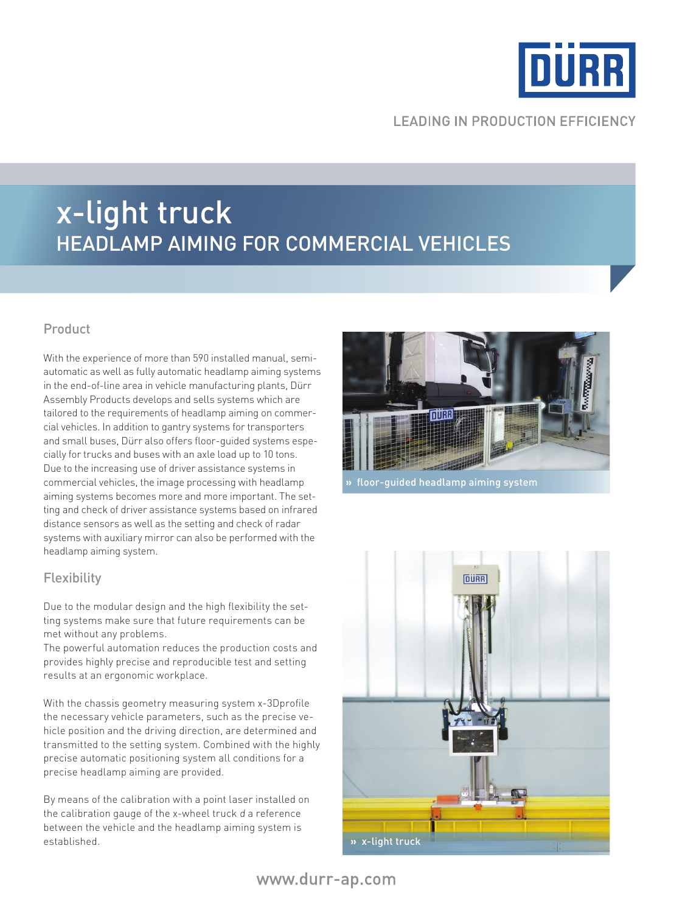

### **LEADING IN PRODUCTION EFFICIENCY**

## x-light truck HEADLAMP AIMING FOR COMMERCIAL VEHICLES

### Product

With the experience of more than 590 installed manual, semiautomatic as well as fully automatic headlamp aiming systems in the end-of-line area in vehicle manufacturing plants, Dürr Assembly Products develops and sells systems which are tailored to the requirements of headlamp aiming on commercial vehicles. In addition to gantry systems for transporters and small buses, Dürr also offers floor-guided systems especially for trucks and buses with an axle load up to 10 tons. Due to the increasing use of driver assistance systems in commercial vehicles, the image processing with headlamp aiming systems becomes more and more important. The setting and check of driver assistance systems based on infrared distance sensors as well as the setting and check of radar systems with auxiliary mirror can also be performed with the headlamp aiming system.

### **Flexibility**

Due to the modular design and the high flexibility the setting systems make sure that future requirements can be met without any problems.

The powerful automation reduces the production costs and provides highly precise and reproducible test and setting results at an ergonomic workplace.

With the chassis geometry measuring system x-3Dprofile the necessary vehicle parameters, such as the precise vehicle position and the driving direction, are determined and transmitted to the setting system. Combined with the highly precise automatic positioning system all conditions for a precise headlamp aiming are provided.

By means of the calibration with a point laser installed on the calibration gauge of the x-wheel truck d a reference between the vehicle and the headlamp aiming system is established.



**»** floor-guided headlamp aiming system